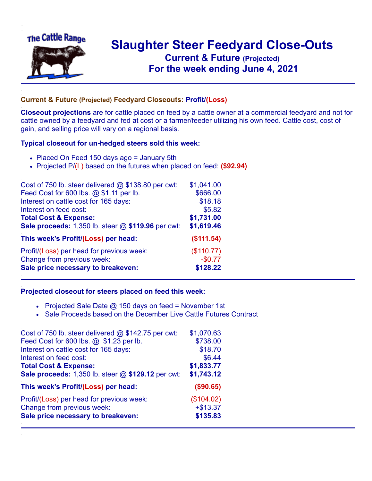

## **Slaughter Steer Feedyard Close-Outs Current & Future (Projected)** .**For the week ending June 4, 2021**

## **Current & Future (Projected) Feedyard Closeouts: Profit/(Loss)**

**Closeout projections** are for cattle placed on feed by a cattle owner at a commercial feedyard and not for cattle owned by a feedyard and fed at cost or a farmer/feeder utilizing his own feed. Cattle cost, cost of gain, and selling price will vary on a regional basis.

## **Typical closeout for un-hedged steers sold this week:**

- Placed On Feed 150 days ago = January 5th
- Projected P/(L) based on the futures when placed on feed: **(\$92.94)**

| Cost of 750 lb. steer delivered $@$ \$138.80 per cwt: | \$1,041.00 |
|-------------------------------------------------------|------------|
| Feed Cost for 600 lbs. @ \$1.11 per lb.               | \$666.00   |
| Interest on cattle cost for 165 days:                 | \$18.18    |
| Interest on feed cost:                                | \$5.82     |
| <b>Total Cost &amp; Expense:</b>                      | \$1,731.00 |
| Sale proceeds: 1,350 lb. steer @ \$119.96 per cwt:    | \$1,619.46 |
| This week's Profit/(Loss) per head:                   | (\$111.54) |
| Profit/(Loss) per head for previous week:             | (\$110.77) |
| Change from previous week:                            | $-$0.77$   |
| Sale price necessary to breakeven:                    | \$128.22   |

## **Projected closeout for steers placed on feed this week:**

- Projected Sale Date  $@$  150 days on feed = November 1st
- Sale Proceeds based on the December Live Cattle Futures Contract

| Cost of 750 lb. steer delivered $@$ \$142.75 per cwt: | \$1,070.63 |
|-------------------------------------------------------|------------|
| Feed Cost for 600 lbs. @ \$1.23 per lb.               | \$738.00   |
| Interest on cattle cost for 165 days:                 | \$18.70    |
| Interest on feed cost:                                | \$6.44     |
| <b>Total Cost &amp; Expense:</b>                      | \$1,833.77 |
| Sale proceeds: 1,350 lb. steer @ \$129.12 per cwt:    | \$1,743.12 |
| This week's Profit/(Loss) per head:                   | (\$90.65)  |
| Profit/(Loss) per head for previous week:             | (\$104.02) |
| Change from previous week:                            | $+ $13.37$ |
| Sale price necessary to breakeven:                    | \$135.83   |